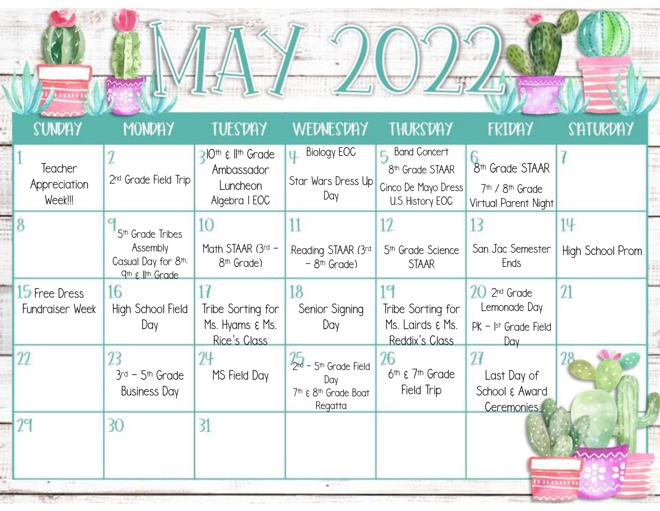| <b>Upsairing</b>                   |                                                                                                             |                                                                          |                                                                               |                                                                                                 |                                                                                                |                        |  |
|------------------------------------|-------------------------------------------------------------------------------------------------------------|--------------------------------------------------------------------------|-------------------------------------------------------------------------------|-------------------------------------------------------------------------------------------------|------------------------------------------------------------------------------------------------|------------------------|--|
| <b>SUNDAY</b>                      | MONDAY                                                                                                      | TUESDAY                                                                  | WEDNESDAY                                                                     | <b>THURSDAY</b>                                                                                 | FRIDAY                                                                                         | SHTURDHY               |  |
| Teacher<br>Appreciation<br>Week!!! | 2 <sup>nd</sup> Grade Field Trip                                                                            | <b>PIOth &amp; IIth Grade</b><br>Ambassador<br>Luncheon<br>Algebra   EOC | <b>Biology EOC</b><br>Star Wars Dress Up<br>Day                               | <b>E.</b> Band Concert<br>8 <sup>th</sup> Grade STAAR<br>Cinco De Mayo Dress<br>U.S History EOC | 8 <sup>th</sup> Grade STAAR<br>7 <sup>th</sup> / 8 <sup>th</sup> Grade<br>Virtual Parent Night |                        |  |
|                                    | 5 <sup>th</sup> Grade Tribes<br>Assembly<br>Casual Day for 8th,<br>q <sup>th</sup> ε I <sup>Ith</sup> Grade | 10<br>Math STAAR (3rd -<br>8 <sup>th</sup> Grade)                        | 11<br>Reading STAAR (3rd<br>$-8$ <sup>th</sup> Grade)                         | 12<br>5 <sup>th</sup> Grade Science<br><b>STAAR</b>                                             | 13<br>San Jac Semester<br>Ends                                                                 | 14<br>High School Prom |  |
| 15 Free Dress<br>Fundraiser Week   | 16<br>High School Field<br>Day                                                                              | Tribe Sorting for<br>Ms. Hyams $\xi$ Ms.<br>Rice's Class                 | 18<br>Senior Signing<br>Day                                                   | 19<br>Tribe Sorting for<br>Ms. Lairds & Ms.<br>Reddix's Class                                   | $20$ 2 <sup>nd</sup> Grade<br>Lemonade Day<br>$PK -  st$ Grade Field<br>Day                    | 21                     |  |
| 22                                 | 23<br>$3rd - 5th$ Grade<br><b>Business Day</b>                                                              | 24<br>MS Field Day                                                       | $2th$ – 5 <sup>th</sup> Grade Field<br>Day<br>7th & 8th Grade Boat<br>Regatta | 26<br>$6th$ $\xi$ 7 <sup>th</sup> Grade<br>Field Trip                                           | $\mathcal{U}$<br>Last Day of<br>School & Award<br>Ceremonies                                   |                        |  |
|                                    | 30                                                                                                          | 31                                                                       |                                                                               |                                                                                                 | <b>Bingaring</b>                                                                               |                        |  |

 $\langle\!\langle u| \rangle\!\rangle$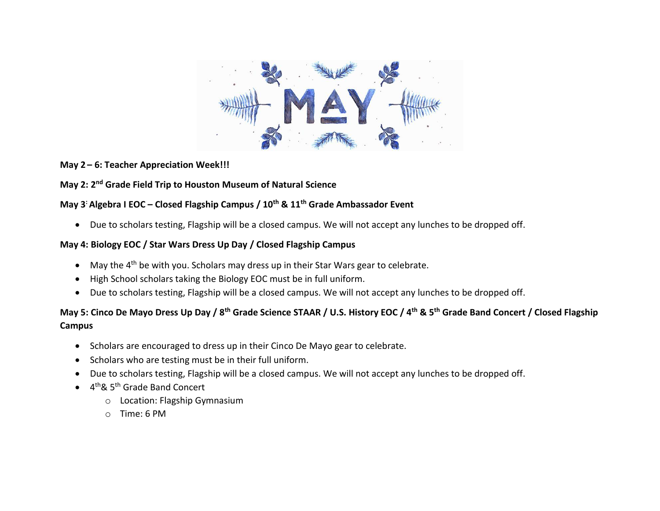

#### **May 2 – 6: Teacher Appreciation Week!!!**

### **May 2: 2nd Grade Field Trip to Houston Museum of Natural Science**

### **May 3: Algebra I EOC – Closed Flagship Campus / 10th & 11th Grade Ambassador Event**

• Due to scholars testing, Flagship will be a closed campus. We will not accept any lunches to be dropped off.

#### **May 4: Biology EOC / Star Wars Dress Up Day / Closed Flagship Campus**

- May the  $4<sup>th</sup>$  be with you. Scholars may dress up in their Star Wars gear to celebrate.
- High School scholars taking the Biology EOC must be in full uniform.
- Due to scholars testing, Flagship will be a closed campus. We will not accept any lunches to be dropped off.

# **May 5: Cinco De Mayo Dress Up Day / 8th Grade Science STAAR / U.S. History EOC / 4 th & 5th Grade Band Concert / Closed Flagship Campus**

- Scholars are encouraged to dress up in their Cinco De Mayo gear to celebrate.
- Scholars who are testing must be in their full uniform.
- Due to scholars testing, Flagship will be a closed campus. We will not accept any lunches to be dropped off.
- 4<sup>th</sup>& 5<sup>th</sup> Grade Band Concert
	- o Location: Flagship Gymnasium
	- o Time: 6 PM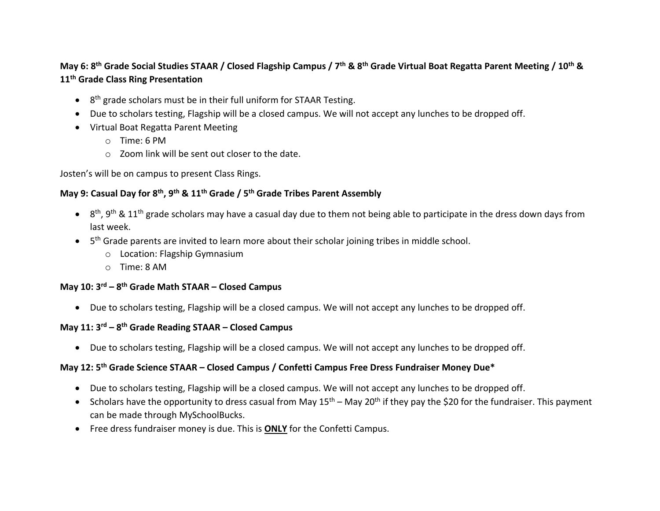## **May 6: 8th Grade Social Studies STAAR / Closed Flagship Campus / 7 th & 8th Grade Virtual Boat Regatta Parent Meeting / 10th & 11th Grade Class Ring Presentation**

- 8<sup>th</sup> grade scholars must be in their full uniform for STAAR Testing.
- Due to scholars testing, Flagship will be a closed campus. We will not accept any lunches to be dropped off.
- Virtual Boat Regatta Parent Meeting
	- o Time: 6 PM
	- o Zoom link will be sent out closer to the date.

Josten's will be on campus to present Class Rings.

### **May 9: Casual Day for 8th , 9 th & 11th Grade / 5 th Grade Tribes Parent Assembly**

- $\bullet$  8<sup>th</sup>, 9<sup>th</sup> & 11<sup>th</sup> grade scholars may have a casual day due to them not being able to participate in the dress down days from last week.
- 5<sup>th</sup> Grade parents are invited to learn more about their scholar joining tribes in middle school.
	- o Location: Flagship Gymnasium
	- o Time: 8 AM

#### **May 10: 3 rd – 8 th Grade Math STAAR – Closed Campus**

• Due to scholars testing, Flagship will be a closed campus. We will not accept any lunches to be dropped off.

### **May 11: 3 rd – 8 th Grade Reading STAAR – Closed Campus**

• Due to scholars testing, Flagship will be a closed campus. We will not accept any lunches to be dropped off.

### **May 12: 5th Grade Science STAAR – Closed Campus / Confetti Campus Free Dress Fundraiser Money Due\***

- Due to scholars testing, Flagship will be a closed campus. We will not accept any lunches to be dropped off.
- Scholars have the opportunity to dress casual from May  $15<sup>th</sup>$  May 20<sup>th</sup> if they pay the \$20 for the fundraiser. This payment can be made through MySchoolBucks.
- Free dress fundraiser money is due. This is **ONLY** for the Confetti Campus.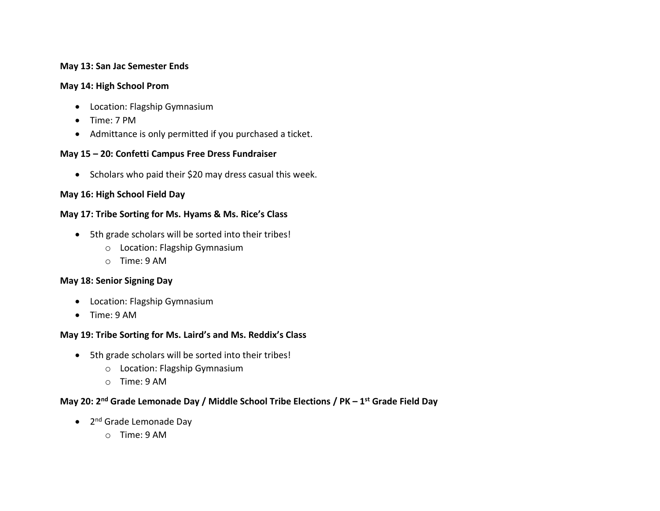#### **May 13: San Jac Semester Ends**

#### **May 14: High School Prom**

- Location: Flagship Gymnasium
- Time: 7 PM
- Admittance is only permitted if you purchased a ticket.

#### **May 15 – 20: Confetti Campus Free Dress Fundraiser**

• Scholars who paid their \$20 may dress casual this week.

### **May 16: High School Field Day**

#### **May 17: Tribe Sorting for Ms. Hyams & Ms. Rice's Class**

- 5th grade scholars will be sorted into their tribes!
	- o Location: Flagship Gymnasium
	- o Time: 9 AM

#### **May 18: Senior Signing Day**

- Location: Flagship Gymnasium
- Time: 9 AM

#### **May 19: Tribe Sorting for Ms. Laird's and Ms. Reddix's Class**

- 5th grade scholars will be sorted into their tribes!
	- o Location: Flagship Gymnasium
	- o Time: 9 AM

### **May 20: 2nd Grade Lemonade Day / Middle School Tribe Elections / PK – 1 st Grade Field Day**

- 2<sup>nd</sup> Grade Lemonade Day
	- o Time: 9 AM